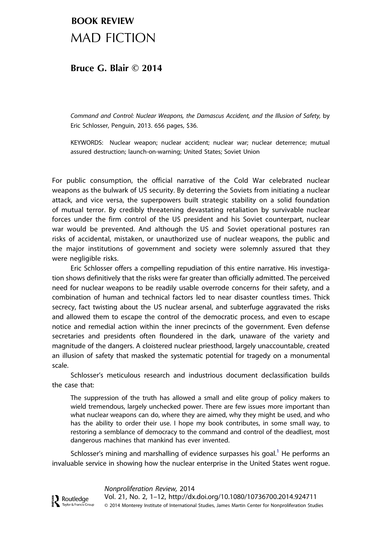# BOOK REVIEW MAD FICTION

Bruce G. Blair © 2014

Command and Control: Nuclear Weapons, the Damascus Accident, and the Illusion of Safety, by Eric Schlosser, Penguin, 2013. 656 pages, \$36.

KEYWORDS: Nuclear weapon; nuclear accident; nuclear war; nuclear deterrence; mutual assured destruction; launch-on-warning; United States; Soviet Union

For public consumption, the official narrative of the Cold War celebrated nuclear weapons as the bulwark of US security. By deterring the Soviets from initiating a nuclear attack, and vice versa, the superpowers built strategic stability on a solid foundation of mutual terror. By credibly threatening devastating retaliation by survivable nuclear forces under the firm control of the US president and his Soviet counterpart, nuclear war would be prevented. And although the US and Soviet operational postures ran risks of accidental, mistaken, or unauthorized use of nuclear weapons, the public and the major institutions of government and society were solemnly assured that they were negligible risks.

Eric Schlosser offers a compelling repudiation of this entire narrative. His investigation shows definitively that the risks were far greater than officially admitted. The perceived need for nuclear weapons to be readily usable overrode concerns for their safety, and a combination of human and technical factors led to near disaster countless times. Thick secrecy, fact twisting about the US nuclear arsenal, and subterfuge aggravated the risks and allowed them to escape the control of the democratic process, and even to escape notice and remedial action within the inner precincts of the government. Even defense secretaries and presidents often floundered in the dark, unaware of the variety and magnitude of the dangers. A cloistered nuclear priesthood, largely unaccountable, created an illusion of safety that masked the systematic potential for tragedy on a monumental scale.

Schlosser's meticulous research and industrious document declassification builds the case that:

The suppression of the truth has allowed a small and elite group of policy makers to wield tremendous, largely unchecked power. There are few issues more important than what nuclear weapons can do, where they are aimed, why they might be used, and who has the ability to order their use. I hope my book contributes, in some small way, to restoring a semblance of democracy to the command and control of the deadliest, most dangerous machines that mankind has ever invented.

Schlosser's mining and marshalling of evidence surpasses his goal.<sup>[1](#page-4-0)</sup> He performs an invaluable service in showing how the nuclear enterprise in the United States went rogue.

 $\sum_{\text{Baylor } \text{A Francis Group}}$ 

Nonproliferation Review, 2014 Vol. 21, No. 2, 1–12,<http://dx.doi.org/10.1080/10736700.2014.924711> © 2014 Monterey Institute of International Studies, James Martin Center for Nonproliferation Studies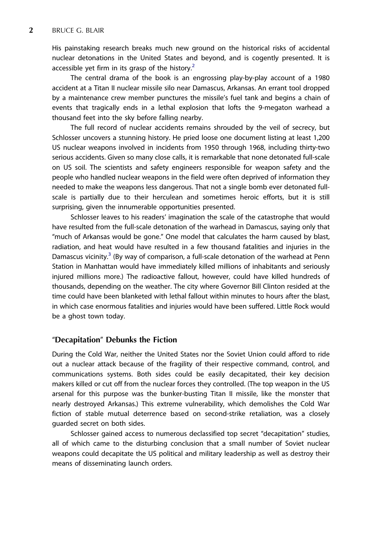His painstaking research breaks much new ground on the historical risks of accidental nuclear detonations in the United States and beyond, and is cogently presented. It is accessible yet firm in its grasp of the history.<sup>[2](#page-4-0)</sup>

The central drama of the book is an engrossing play-by-play account of a 1980 accident at a Titan II nuclear missile silo near Damascus, Arkansas. An errant tool dropped by a maintenance crew member punctures the missile's fuel tank and begins a chain of events that tragically ends in a lethal explosion that lofts the 9-megaton warhead a thousand feet into the sky before falling nearby.

The full record of nuclear accidents remains shrouded by the veil of secrecy, but Schlosser uncovers a stunning history. He pried loose one document listing at least 1,200 US nuclear weapons involved in incidents from 1950 through 1968, including thirty-two serious accidents. Given so many close calls, it is remarkable that none detonated full-scale on US soil. The scientists and safety engineers responsible for weapon safety and the people who handled nuclear weapons in the field were often deprived of information they needed to make the weapons less dangerous. That not a single bomb ever detonated fullscale is partially due to their herculean and sometimes heroic efforts, but it is still surprising, given the innumerable opportunities presented.

Schlosser leaves to his readers' imagination the scale of the catastrophe that would have resulted from the full-scale detonation of the warhead in Damascus, saying only that "much of Arkansas would be gone." One model that calculates the harm caused by blast, radiation, and heat would have resulted in a few thousand fatalities and injuries in the Damascus vicinity.<sup>[3](#page-4-0)</sup> (By way of comparison, a full-scale detonation of the warhead at Penn Station in Manhattan would have immediately killed millions of inhabitants and seriously injured millions more.) The radioactive fallout, however, could have killed hundreds of thousands, depending on the weather. The city where Governor Bill Clinton resided at the time could have been blanketed with lethal fallout within minutes to hours after the blast, in which case enormous fatalities and injuries would have been suffered. Little Rock would be a ghost town today.

### "Decapitation" Debunks the Fiction

During the Cold War, neither the United States nor the Soviet Union could afford to ride out a nuclear attack because of the fragility of their respective command, control, and communications systems. Both sides could be easily decapitated, their key decision makers killed or cut off from the nuclear forces they controlled. (The top weapon in the US arsenal for this purpose was the bunker-busting Titan II missile, like the monster that nearly destroyed Arkansas.) This extreme vulnerability, which demolishes the Cold War fiction of stable mutual deterrence based on second-strike retaliation, was a closely guarded secret on both sides.

Schlosser gained access to numerous declassified top secret "decapitation" studies, all of which came to the disturbing conclusion that a small number of Soviet nuclear weapons could decapitate the US political and military leadership as well as destroy their means of disseminating launch orders.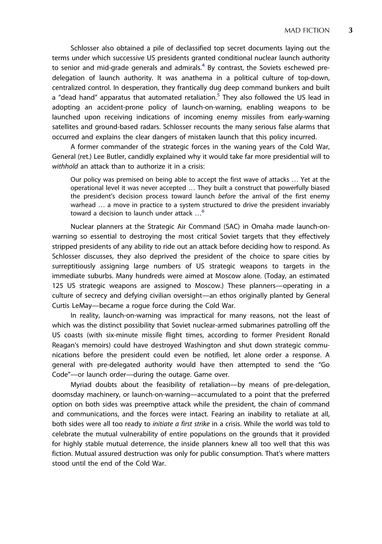Schlosser also obtained a pile of declassified top secret documents laying out the terms under which successive US presidents granted conditional nuclear launch authority to senior and mid-grade generals and admirals. $4$  By contrast, the Soviets eschewed predelegation of launch authority. It was anathema in a political culture of top-down, centralized control. In desperation, they frantically dug deep command bunkers and built a "dead hand" apparatus that automated retaliation.<sup>[5](#page-5-0)</sup> They also followed the US lead in adopting an accident-prone policy of launch-on-warning, enabling weapons to be launched upon receiving indications of incoming enemy missiles from early-warning satellites and ground-based radars. Schlosser recounts the many serious false alarms that occurred and explains the clear dangers of mistaken launch that this policy incurred.

A former commander of the strategic forces in the waning years of the Cold War, General (ret.) Lee Butler, candidly explained why it would take far more presidential will to withhold an attack than to authorize it in a crisis:

Our policy was premised on being able to accept the first wave of attacks … Yet at the operational level it was never accepted … They built a construct that powerfully biased the president's decision process toward launch before the arrival of the first enemy warhead … a move in practice to a system structured to drive the president invariably toward a decision to launch under attack …[6](#page-5-0)

Nuclear planners at the Strategic Air Command (SAC) in Omaha made launch-onwarning so essential to destroying the most critical Soviet targets that they effectively stripped presidents of any ability to ride out an attack before deciding how to respond. As Schlosser discusses, they also deprived the president of the choice to spare cities by surreptitiously assigning large numbers of US strategic weapons to targets in the immediate suburbs. Many hundreds were aimed at Moscow alone. (Today, an estimated 125 US strategic weapons are assigned to Moscow.) These planners—operating in a culture of secrecy and defying civilian oversight—an ethos originally planted by General Curtis LeMay—became a rogue force during the Cold War.

In reality, launch-on-warning was impractical for many reasons, not the least of which was the distinct possibility that Soviet nuclear-armed submarines patrolling off the US coasts (with six-minute missile flight times, according to former President Ronald Reagan's memoirs) could have destroyed Washington and shut down strategic communications before the president could even be notified, let alone order a response. A general with pre-delegated authority would have then attempted to send the "Go Code"—or launch order—during the outage. Game over.

Myriad doubts about the feasibility of retaliation—by means of pre-delegation, doomsday machinery, or launch-on-warning—accumulated to a point that the preferred option on both sides was preemptive attack while the president, the chain of command and communications, and the forces were intact. Fearing an inability to retaliate at all, both sides were all too ready to *initiate a first strike* in a crisis. While the world was told to celebrate the mutual vulnerability of entire populations on the grounds that it provided for highly stable mutual deterrence, the inside planners knew all too well that this was fiction. Mutual assured destruction was only for public consumption. That's where matters stood until the end of the Cold War.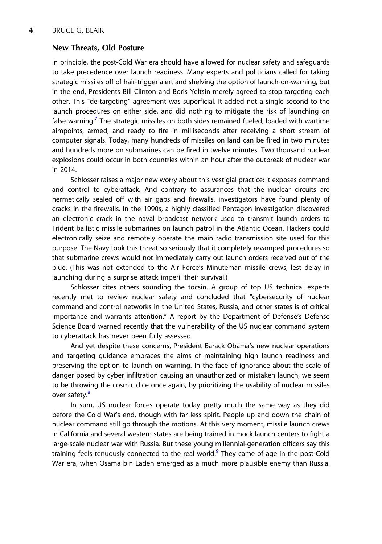#### New Threats, Old Posture

In principle, the post-Cold War era should have allowed for nuclear safety and safeguards to take precedence over launch readiness. Many experts and politicians called for taking strategic missiles off of hair-trigger alert and shelving the option of launch-on-warning, but in the end, Presidents Bill Clinton and Boris Yeltsin merely agreed to stop targeting each other. This "de-targeting" agreement was superficial. It added not a single second to the launch procedures on either side, and did nothing to mitigate the risk of launching on false warning.<sup>[7](#page-5-0)</sup> The strategic missiles on both sides remained fueled, loaded with wartime aimpoints, armed, and ready to fire in milliseconds after receiving a short stream of computer signals. Today, many hundreds of missiles on land can be fired in two minutes and hundreds more on submarines can be fired in twelve minutes. Two thousand nuclear explosions could occur in both countries within an hour after the outbreak of nuclear war in 2014.

Schlosser raises a major new worry about this vestigial practice: it exposes command and control to cyberattack. And contrary to assurances that the nuclear circuits are hermetically sealed off with air gaps and firewalls, investigators have found plenty of cracks in the firewalls. In the 1990s, a highly classified Pentagon investigation discovered an electronic crack in the naval broadcast network used to transmit launch orders to Trident ballistic missile submarines on launch patrol in the Atlantic Ocean. Hackers could electronically seize and remotely operate the main radio transmission site used for this purpose. The Navy took this threat so seriously that it completely revamped procedures so that submarine crews would not immediately carry out launch orders received out of the blue. (This was not extended to the Air Force's Minuteman missile crews, lest delay in launching during a surprise attack imperil their survival.)

Schlosser cites others sounding the tocsin. A group of top US technical experts recently met to review nuclear safety and concluded that "cybersecurity of nuclear command and control networks in the United States, Russia, and other states is of critical importance and warrants attention." A report by the Department of Defense's Defense Science Board warned recently that the vulnerability of the US nuclear command system to cyberattack has never been fully assessed.

And yet despite these concerns, President Barack Obama's new nuclear operations and targeting guidance embraces the aims of maintaining high launch readiness and preserving the option to launch on warning. In the face of ignorance about the scale of danger posed by cyber infiltration causing an unauthorized or mistaken launch, we seem to be throwing the cosmic dice once again, by prioritizing the usability of nuclear missiles over safety.<sup>[8](#page-5-0)</sup>

In sum, US nuclear forces operate today pretty much the same way as they did before the Cold War's end, though with far less spirit. People up and down the chain of nuclear command still go through the motions. At this very moment, missile launch crews in California and several western states are being trained in mock launch centers to fight a large-scale nuclear war with Russia. But these young millennial-generation officers say this training feels tenuously connected to the real world.<sup>[9](#page-5-0)</sup> They came of age in the post-Cold War era, when Osama bin Laden emerged as a much more plausible enemy than Russia.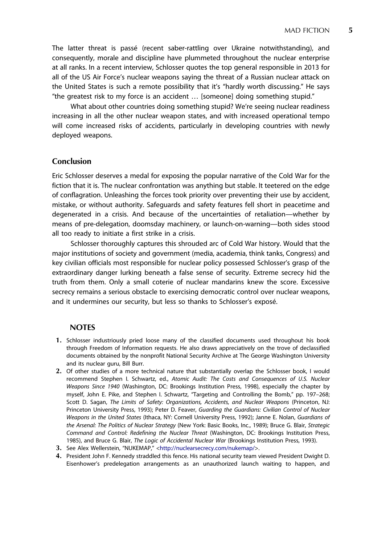<span id="page-4-0"></span>The latter threat is passé (recent saber-rattling over Ukraine notwithstanding), and consequently, morale and discipline have plummeted throughout the nuclear enterprise at all ranks. In a recent interview, Schlosser quotes the top general responsible in 2013 for all of the US Air Force's nuclear weapons saying the threat of a Russian nuclear attack on the United States is such a remote possibility that it's "hardly worth discussing." He says "the greatest risk to my force is an accident … [someone] doing something stupid."

What about other countries doing something stupid? We're seeing nuclear readiness increasing in all the other nuclear weapon states, and with increased operational tempo will come increased risks of accidents, particularly in developing countries with newly deployed weapons.

### **Conclusion**

Eric Schlosser deserves a medal for exposing the popular narrative of the Cold War for the fiction that it is. The nuclear confrontation was anything but stable. It teetered on the edge of conflagration. Unleashing the forces took priority over preventing their use by accident, mistake, or without authority. Safeguards and safety features fell short in peacetime and degenerated in a crisis. And because of the uncertainties of retaliation—whether by means of pre-delegation, doomsday machinery, or launch-on-warning—both sides stood all too ready to initiate a first strike in a crisis.

Schlosser thoroughly captures this shrouded arc of Cold War history. Would that the major institutions of society and government (media, academia, think tanks, Congress) and key civilian officials most responsible for nuclear policy possessed Schlosser's grasp of the extraordinary danger lurking beneath a false sense of security. Extreme secrecy hid the truth from them. Only a small coterie of nuclear mandarins knew the score. Excessive secrecy remains a serious obstacle to exercising democratic control over nuclear weapons, and it undermines our security, but less so thanks to Schlosser's exposé.

#### **NOTES**

- 1. Schlosser industriously pried loose many of the classified documents used throughout his book through Freedom of Information requests. He also draws appreciatively on the trove of declassified documents obtained by the nonprofit National Security Archive at The George Washington University and its nuclear guru, Bill Burr.
- 2. Of other studies of a more technical nature that substantially overlap the Schlosser book, I would recommend Stephen I. Schwartz, ed., Atomic Audit: The Costs and Consequences of U.S. Nuclear Weapons Since 1940 (Washington, DC: Brookings Institution Press, 1998), especially the chapter by myself, John E. Pike, and Stephen I. Schwartz, "Targeting and Controlling the Bomb," pp. 197–268; Scott D. Sagan, The Limits of Safety: Organizations, Accidents, and Nuclear Weapons (Princeton, NJ: Princeton University Press, 1993); Peter D. Feaver, Guarding the Guardians: Civilian Control of Nuclear Weapons in the United States (Ithaca, NY: Cornell University Press, 1992); Janne E. Nolan, Guardians of the Arsenal: The Politics of Nuclear Strategy (New York: Basic Books, Inc., 1989); Bruce G. Blair, Strategic Command and Control: Redefining the Nuclear Threat (Washington, DC: Brookings Institution Press, 1985), and Bruce G. Blair, The Logic of Accidental Nuclear War (Brookings Institution Press, 1993).
- 3. See Alex Wellerstein, "NUKEMAP," <[http://nuclearsecrecy.com/nukemap/>](http://nuclearsecrecy.com/nukemap/).
- 4. President John F. Kennedy straddled this fence. His national security team viewed President Dwight D. Eisenhower's predelegation arrangements as an unauthorized launch waiting to happen, and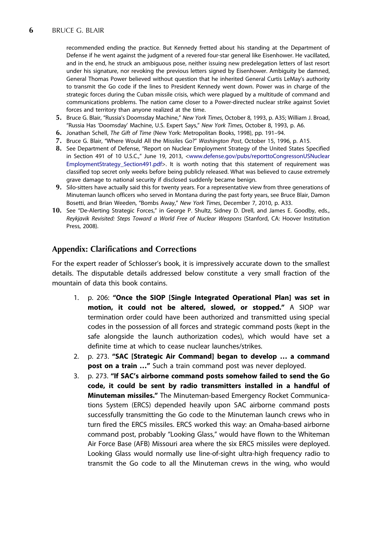<span id="page-5-0"></span>recommended ending the practice. But Kennedy fretted about his standing at the Department of Defense if he went against the judgment of a revered four-star general like Eisenhower. He vacillated, and in the end, he struck an ambiguous pose, neither issuing new predelegation letters of last resort under his signature, nor revoking the previous letters signed by Eisenhower. Ambiguity be damned, General Thomas Power believed without question that he inherited General Curtis LeMay's authority to transmit the Go code if the lines to President Kennedy went down. Power was in charge of the strategic forces during the Cuban missile crisis, which were plagued by a multitude of command and communications problems. The nation came closer to a Power-directed nuclear strike against Soviet forces and territory than anyone realized at the time.

- 5. Bruce G. Blair, "Russia's Doomsday Machine," New York Times, October 8, 1993, p. A35; William J. Broad, "Russia Has 'Doomsday' Machine, U.S. Expert Says," New York Times, October 8, 1993, p. A6.
- 6. Jonathan Schell, The Gift of Time (New York: Metropolitan Books, 1998), pp. 191–94.
- 7. Bruce G. Blair, "Where Would All the Missiles Go?" Washington Post, October 15, 1996, p. A15.
- 8. See Department of Defense, "Report on Nuclear Employment Strategy of the United States Specified in Section 491 of 10 U.S.C.," June 19, 2013, [<www.defense.gov/pubs/reporttoCongressonUSNuclear](http://www.defense.gov/pubs/reporttoCongressonUSNuclearEmploymentStrategy_Section491.pdf) [EmploymentStrategy\\_Section491.pdf](http://www.defense.gov/pubs/reporttoCongressonUSNuclearEmploymentStrategy_Section491.pdf)>. It is worth noting that this statement of requirement was classified top secret only weeks before being publicly released. What was believed to cause extremely grave damage to national security if disclosed suddenly became benign.
- 9. Silo-sitters have actually said this for twenty years. For a representative view from three generations of Minuteman launch officers who served in Montana during the past forty years, see Bruce Blair, Damon Bosetti, and Brian Weeden, "Bombs Away," New York Times, December 7, 2010, p. A33.
- 10. See "De-Alerting Strategic Forces," in George P. Shultz, Sidney D. Drell, and James E. Goodby, eds., Reykjavik Revisited: Steps Toward a World Free of Nuclear Weapons (Stanford, CA: Hoover Institution Press, 2008).

## Appendix: Clarifications and Corrections

For the expert reader of Schlosser's book, it is impressively accurate down to the smallest details. The disputable details addressed below constitute a very small fraction of the mountain of data this book contains.

- 1. p. 206: "Once the SIOP [Single Integrated Operational Plan] was set in motion, it could not be altered, slowed, or stopped." A SIOP war termination order could have been authorized and transmitted using special codes in the possession of all forces and strategic command posts (kept in the safe alongside the launch authorization codes), which would have set a definite time at which to cease nuclear launches/strikes.
- 2. p. 273. "SAC [Strategic Air Command] began to develop … a command post on a train ..." Such a train command post was never deployed.
- 3. p. 273. "If SAC's airborne command posts somehow failed to send the Go code, it could be sent by radio transmitters installed in a handful of Minuteman missiles." The Minuteman-based Emergency Rocket Communications System (ERCS) depended heavily upon SAC airborne command posts successfully transmitting the Go code to the Minuteman launch crews who in turn fired the ERCS missiles. ERCS worked this way: an Omaha-based airborne command post, probably "Looking Glass," would have flown to the Whiteman Air Force Base (AFB) Missouri area where the six ERCS missiles were deployed. Looking Glass would normally use line-of-sight ultra-high frequency radio to transmit the Go code to all the Minuteman crews in the wing, who would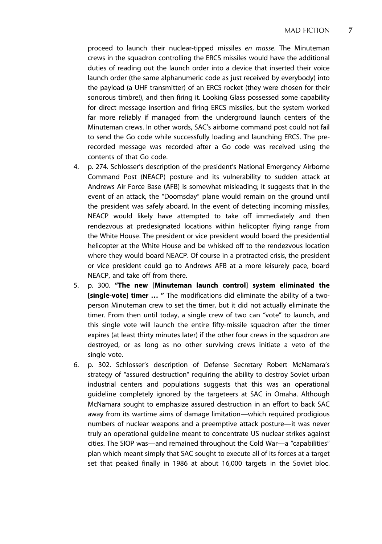proceed to launch their nuclear-tipped missiles en masse. The Minuteman crews in the squadron controlling the ERCS missiles would have the additional duties of reading out the launch order into a device that inserted their voice launch order (the same alphanumeric code as just received by everybody) into the payload (a UHF transmitter) of an ERCS rocket (they were chosen for their sonorous timbre!), and then firing it. Looking Glass possessed some capability for direct message insertion and firing ERCS missiles, but the system worked far more reliably if managed from the underground launch centers of the Minuteman crews. In other words, SAC's airborne command post could not fail to send the Go code while successfully loading and launching ERCS. The prerecorded message was recorded after a Go code was received using the contents of that Go code.

- 4. p. 274. Schlosser's description of the president's National Emergency Airborne Command Post (NEACP) posture and its vulnerability to sudden attack at Andrews Air Force Base (AFB) is somewhat misleading; it suggests that in the event of an attack, the "Doomsday" plane would remain on the ground until the president was safely aboard. In the event of detecting incoming missiles, NEACP would likely have attempted to take off immediately and then rendezvous at predesignated locations within helicopter flying range from the White House. The president or vice president would board the presidential helicopter at the White House and be whisked off to the rendezvous location where they would board NEACP. Of course in a protracted crisis, the president or vice president could go to Andrews AFB at a more leisurely pace, board NEACP, and take off from there.
- 5. p. 300. "The new [Minuteman launch control] system eliminated the [single-vote] timer … " The modifications did eliminate the ability of a twoperson Minuteman crew to set the timer, but it did not actually eliminate the timer. From then until today, a single crew of two can "vote" to launch, and this single vote will launch the entire fifty-missile squadron after the timer expires (at least thirty minutes later) if the other four crews in the squadron are destroyed, or as long as no other surviving crews initiate a veto of the single vote.
- 6. p. 302. Schlosser's description of Defense Secretary Robert McNamara's strategy of "assured destruction" requiring the ability to destroy Soviet urban industrial centers and populations suggests that this was an operational guideline completely ignored by the targeteers at SAC in Omaha. Although McNamara sought to emphasize assured destruction in an effort to back SAC away from its wartime aims of damage limitation—which required prodigious numbers of nuclear weapons and a preemptive attack posture—it was never truly an operational guideline meant to concentrate US nuclear strikes against cities. The SIOP was—and remained throughout the Cold War—a "capabilities" plan which meant simply that SAC sought to execute all of its forces at a target set that peaked finally in 1986 at about 16,000 targets in the Soviet bloc.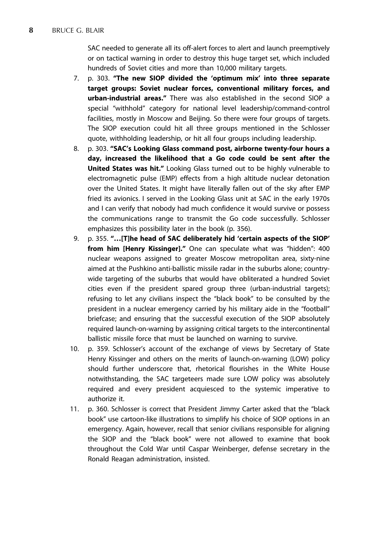SAC needed to generate all its off-alert forces to alert and launch preemptively or on tactical warning in order to destroy this huge target set, which included hundreds of Soviet cities and more than 10,000 military targets.

- 7. p. 303. "The new SIOP divided the 'optimum mix' into three separate target groups: Soviet nuclear forces, conventional military forces, and urban-industrial areas." There was also established in the second SIOP a special "withhold" category for national level leadership/command-control facilities, mostly in Moscow and Beijing. So there were four groups of targets. The SIOP execution could hit all three groups mentioned in the Schlosser quote, withholding leadership, or hit all four groups including leadership.
- 8. p. 303. "SAC's Looking Glass command post, airborne twenty-four hours a day, increased the likelihood that a Go code could be sent after the United States was hit." Looking Glass turned out to be highly vulnerable to electromagnetic pulse (EMP) effects from a high altitude nuclear detonation over the United States. It might have literally fallen out of the sky after EMP fried its avionics. I served in the Looking Glass unit at SAC in the early 1970s and I can verify that nobody had much confidence it would survive or possess the communications range to transmit the Go code successfully. Schlosser emphasizes this possibility later in the book (p. 356).
- 9. p. 355. "…[T]he head of SAC deliberately hid 'certain aspects of the SIOP' from him [Henry Kissinger]." One can speculate what was "hidden": 400 nuclear weapons assigned to greater Moscow metropolitan area, sixty-nine aimed at the Pushkino anti-ballistic missile radar in the suburbs alone; countrywide targeting of the suburbs that would have obliterated a hundred Soviet cities even if the president spared group three (urban-industrial targets); refusing to let any civilians inspect the "black book" to be consulted by the president in a nuclear emergency carried by his military aide in the "football" briefcase; and ensuring that the successful execution of the SIOP absolutely required launch-on-warning by assigning critical targets to the intercontinental ballistic missile force that must be launched on warning to survive.
- 10. p. 359. Schlosser's account of the exchange of views by Secretary of State Henry Kissinger and others on the merits of launch-on-warning (LOW) policy should further underscore that, rhetorical flourishes in the White House notwithstanding, the SAC targeteers made sure LOW policy was absolutely required and every president acquiesced to the systemic imperative to authorize it.
- 11. p. 360. Schlosser is correct that President Jimmy Carter asked that the "black book" use cartoon-like illustrations to simplify his choice of SIOP options in an emergency. Again, however, recall that senior civilians responsible for aligning the SIOP and the "black book" were not allowed to examine that book throughout the Cold War until Caspar Weinberger, defense secretary in the Ronald Reagan administration, insisted.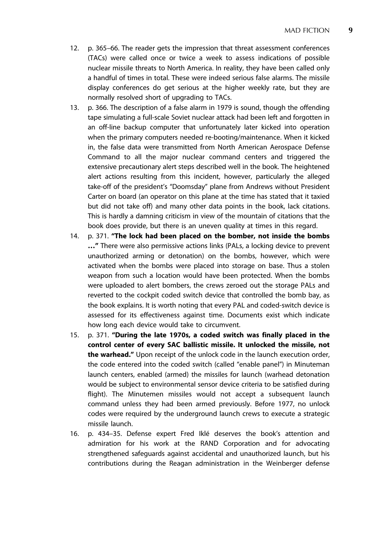- 12. p. 365–66. The reader gets the impression that threat assessment conferences (TACs) were called once or twice a week to assess indications of possible nuclear missile threats to North America. In reality, they have been called only a handful of times in total. These were indeed serious false alarms. The missile display conferences do get serious at the higher weekly rate, but they are normally resolved short of upgrading to TACs.
- 13. p. 366. The description of a false alarm in 1979 is sound, though the offending tape simulating a full-scale Soviet nuclear attack had been left and forgotten in an off-line backup computer that unfortunately later kicked into operation when the primary computers needed re-booting/maintenance. When it kicked in, the false data were transmitted from North American Aerospace Defense Command to all the major nuclear command centers and triggered the extensive precautionary alert steps described well in the book. The heightened alert actions resulting from this incident, however, particularly the alleged take-off of the president's "Doomsday" plane from Andrews without President Carter on board (an operator on this plane at the time has stated that it taxied but did not take off) and many other data points in the book, lack citations. This is hardly a damning criticism in view of the mountain of citations that the book does provide, but there is an uneven quality at times in this regard.
- 14. p. 371. "The lock had been placed on the bomber, not inside the bombs ..." There were also permissive actions links (PALs, a locking device to prevent unauthorized arming or detonation) on the bombs, however, which were activated when the bombs were placed into storage on base. Thus a stolen weapon from such a location would have been protected. When the bombs were uploaded to alert bombers, the crews zeroed out the storage PALs and reverted to the cockpit coded switch device that controlled the bomb bay, as the book explains. It is worth noting that every PAL and coded-switch device is assessed for its effectiveness against time. Documents exist which indicate how long each device would take to circumvent.
- 15. p. 371. "During the late 1970s, a coded switch was finally placed in the control center of every SAC ballistic missile. It unlocked the missile, not the warhead." Upon receipt of the unlock code in the launch execution order, the code entered into the coded switch (called "enable panel") in Minuteman launch centers, enabled (armed) the missiles for launch (warhead detonation would be subject to environmental sensor device criteria to be satisfied during flight). The Minutemen missiles would not accept a subsequent launch command unless they had been armed previously. Before 1977, no unlock codes were required by the underground launch crews to execute a strategic missile launch.
- 16. p. 434–35. Defense expert Fred Iklé deserves the book's attention and admiration for his work at the RAND Corporation and for advocating strengthened safeguards against accidental and unauthorized launch, but his contributions during the Reagan administration in the Weinberger defense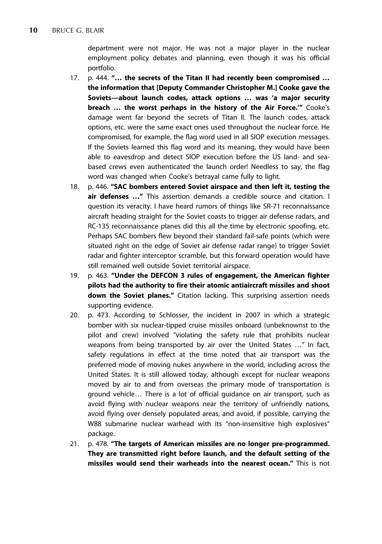department were not major. He was not a major player in the nuclear employment policy debates and planning, even though it was his official portfolio.

- 17. p. 444. "… the secrets of the Titan II had recently been compromised … the information that [Deputy Commander Christopher M.] Cooke gave the Soviets—about launch codes, attack options … was 'a major security breach ... the worst perhaps in the history of the Air Force."" Cooke's damage went far beyond the secrets of Titan II. The launch codes, attack options, etc. were the same exact ones used throughout the nuclear force. He compromised, for example, the flag word used in all SIOP execution messages. If the Soviets learned this flag word and its meaning, they would have been able to eavesdrop and detect SIOP execution before the US land- and seabased crews even authenticated the launch order! Needless to say, the flag word was changed when Cooke's betrayal came fully to light.
- 18. p. 446. "SAC bombers entered Soviet airspace and then left it, testing the air defenses ..." This assertion demands a credible source and citation. I question its veracity. I have heard rumors of things like SR-71 reconnaissance aircraft heading straight for the Soviet coasts to trigger air defense radars, and RC-135 reconnaissance planes did this all the time by electronic spoofing, etc. Perhaps SAC bombers flew beyond their standard fail-safe points (which were situated right on the edge of Soviet air defense radar range) to trigger Soviet radar and fighter interceptor scramble, but this forward operation would have still remained well outside Soviet territorial airspace.
- 19. p. 463. "Under the DEFCON 3 rules of engagement, the American fighter pilots had the authority to fire their atomic antiaircraft missiles and shoot down the Soviet planes." Citation lacking. This surprising assertion needs supporting evidence.
- 20. p. 473. According to Schlosser, the incident in 2007 in which a strategic bomber with six nuclear-tipped cruise missiles onboard (unbeknownst to the pilot and crew) involved "violating the safety rule that prohibits nuclear weapons from being transported by air over the United States …" In fact, safety regulations in effect at the time noted that air transport was the preferred mode of moving nukes anywhere in the world, including across the United States. It is still allowed today, although except for nuclear weapons moved by air to and from overseas the primary mode of transportation is ground vehicle… There is a lot of official guidance on air transport, such as avoid flying with nuclear weapons near the territory of unfriendly nations, avoid flying over densely populated areas, and avoid, if possible, carrying the W88 submarine nuclear warhead with its "non-insensitive high explosives" package.
- 21. p. 478. "The targets of American missiles are no longer pre-programmed. They are transmitted right before launch, and the default setting of the missiles would send their warheads into the nearest ocean." This is not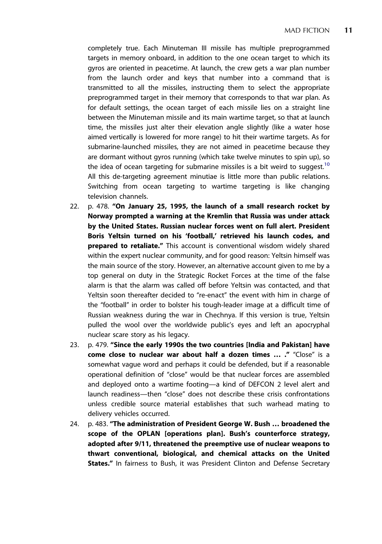completely true. Each Minuteman III missile has multiple preprogrammed targets in memory onboard, in addition to the one ocean target to which its gyros are oriented in peacetime. At launch, the crew gets a war plan number from the launch order and keys that number into a command that is transmitted to all the missiles, instructing them to select the appropriate preprogrammed target in their memory that corresponds to that war plan. As for default settings, the ocean target of each missile lies on a straight line between the Minuteman missile and its main wartime target, so that at launch time, the missiles just alter their elevation angle slightly (like a water hose aimed vertically is lowered for more range) to hit their wartime targets. As for submarine-launched missiles, they are not aimed in peacetime because they are dormant without gyros running (which take twelve minutes to spin up), so the idea of ocean targeting for submarine missiles is a bit weird to suggest.<sup>[10](#page-5-0)</sup> All this de-targeting agreement minutiae is little more than public relations. Switching from ocean targeting to wartime targeting is like changing television channels.

- 22. p. 478. "On January 25, 1995, the launch of a small research rocket by Norway prompted a warning at the Kremlin that Russia was under attack by the United States. Russian nuclear forces went on full alert. President Boris Yeltsin turned on his 'football,' retrieved his launch codes, and prepared to retaliate." This account is conventional wisdom widely shared within the expert nuclear community, and for good reason: Yeltsin himself was the main source of the story. However, an alternative account given to me by a top general on duty in the Strategic Rocket Forces at the time of the false alarm is that the alarm was called off before Yeltsin was contacted, and that Yeltsin soon thereafter decided to "re-enact" the event with him in charge of the "football" in order to bolster his tough-leader image at a difficult time of Russian weakness during the war in Chechnya. If this version is true, Yeltsin pulled the wool over the worldwide public's eyes and left an apocryphal nuclear scare story as his legacy.
- 23. p. 479. "Since the early 1990s the two countries [India and Pakistan] have come close to nuclear war about half a dozen times ... ." "Close" is a somewhat vague word and perhaps it could be defended, but if a reasonable operational definition of "close" would be that nuclear forces are assembled and deployed onto a wartime footing—a kind of DEFCON 2 level alert and launch readiness—then "close" does not describe these crisis confrontations unless credible source material establishes that such warhead mating to delivery vehicles occurred.
- 24. p. 483. "The administration of President George W. Bush … broadened the scope of the OPLAN [operations plan]. Bush's counterforce strategy, adopted after 9/11, threatened the preemptive use of nuclear weapons to thwart conventional, biological, and chemical attacks on the United States." In fairness to Bush, it was President Clinton and Defense Secretary